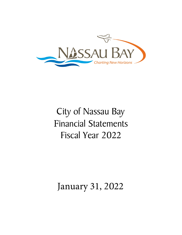

# City of Nassau Bay Financial Statements Fiscal Year 2022

## January 31, 2022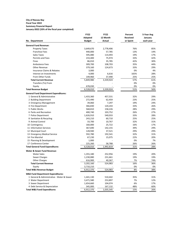#### **City of Nassau Bay Fiscal Year 2022**

## **Summary Financial Report**

**January-2022 (33% of the fiscal year completed)**

|                                              | <b>FY22</b>   | <b>FY22</b>   | Percent  | 5-Year Avg |
|----------------------------------------------|---------------|---------------|----------|------------|
|                                              | Adopted       | 12 Month      | Received | January    |
| No. Department                               | <b>Budget</b> | <b>Actual</b> | or Spent | each year  |
| <b>General Fund Revenue:</b>                 |               |               |          |            |
| <b>Property Taxes</b>                        | 3,649,670     | 2,778,406     | 76%      | 85%        |
| Franchise Fees                               | 440,000       | 57,785        | 13%      | 14%        |
| Sales Taxes                                  | 595,080       | 114,493       | 19%      | 17%        |
| Permits and Fees                             | 233,400       | 75,974        | 33%      | 42%        |
| Fines                                        | 86,010        | 35,785        | 42%      | 30%        |
| <b>Ambulance Fees</b>                        | 309,700       | 108,703       | 35%      | 44%        |
| <b>Other Revenue</b>                         | 379,160       | 124,673       | 33%      | 29%        |
| <b>Insurance Claims &amp; Rebates</b>        | 3,000         |               | 0%       | 4%         |
| Interest on Investments                      | 4,000         | 6,616         | 165%     | 28%        |
| From Other Funds                             | 149,960       | 37,490        | 25%      | 25%        |
| <b>Total Current Revenue</b>                 | 5,849,980     | 3,339,924     | 57%      | 61%        |
| Transfers (To) From                          |               |               | 0%       | 0%         |
| Equity                                       | 678,030       |               | 0%       | 0%         |
| <b>Total Revenue Budget</b>                  | 6,528,010     | 3,339,924     | 51%      | 56%        |
| <b>General Fund Department Expenditures:</b> |               |               |          |            |
| 1 General & Administrative                   | 1,433,360     | 457,531       | 32%      | 29%        |
| 2 Building Department                        | 272,490       | 62,459        | 23%      | 25%        |
| 3 Emergency Management                       | 39,060        | 7,297         | 19%      | 24%        |
| 4 Fire Department                            | 366,830       | 120,243       | 33%      | 26%        |
| 5 Public Works                               | 568,810       | 158,226       | 28%      | 29%        |
| 6 Parks and Recreation                       | 400,740       | 103,752       | 26%      | 27%        |
| 7 Police Department                          | 1,626,910     | 540,033       | 33%      | 28%        |
| 8 Sanitation & Recycling                     | 243,210       | 60,710        | 25%      | 25%        |
| 9 Animal Control                             | 33,700        | 10,767        | 32%      | 31%        |
| 10 Contingency                               | 160,000       | 25,722        | 16%      | 17%        |
| 11 Information Services                      | 367,690       | 142,155       | 39%      | 29%        |
| 12 Municipal Court                           | 128,940       | 37,521        | 29%      | 29%        |
| 13 Emergency Medical Service                 | 592,780       | 192,541       | 32%      | 31%        |
| 14 Fire Marshal                              | 67,230        | 15,075        | 22%      | 20%        |
| 15 Planning & Development                    | 1,000         |               | 0%       | 7%         |
| 17 Conference Center                         | 225,260       | 58,788        | 26%      | 26%        |
| <b>Total General Fund Expenditures</b>       | 6,528,010     | 1,992,819     | 31%      | 28%        |
| Water & Sewer Fund Revenue:                  |               |               |          |            |
| <b>Water Sales</b>                           | 1,355,180     | 252,956       | 19%      | 20%        |
| Sewer Charges                                | 1,230,080     | 231,661       | 19%      | 19%        |
| <b>Other Charges</b>                         | 616,900       | 40,367        | 7%       | 74%        |
| <b>Total Current Revenue</b>                 | 3,202,160     | 524,983       | 16%      | 36%        |
| Equity                                       | 3,710,210     |               | 0%       | 0%         |
| <b>Total W&amp;S Revenue Budget</b>          | 6,912,370     | 524,983       | 8%       | 38%        |
| <b>W&amp;S Fund Department Expenditures:</b> |               |               |          |            |
| 1 General & Administrative - Water & Sewer   | 1,441,130     | 510,442       | 35%      | 31%        |
| 2 Water Department                           | 3,471,580     | 253,897       | 7%       | 12%        |
| 3 Sewer Department                           | 1,654,660     | 104,074       | 6%       | 17%        |
| 4 Debt Service & Depreciation                | 345,000       | 167,132       | 48%      | 60%        |
| <b>Total W&amp;S Fund Expenditures</b>       | 6,912,370     | 1,035,545     | 15%      | 26%        |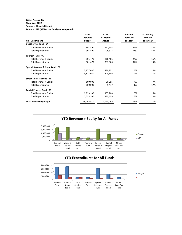## **City of Nassau Bay**

#### **Fiscal Year 2022 Summary Financial Report**

**January-2022 (33% of the fiscal year completed)**

|                                   | <b>FY22</b>   | <b>FY22</b> | Percent         | 5-Year Avg |
|-----------------------------------|---------------|-------------|-----------------|------------|
|                                   | Adopted       | 12 Month    | <b>Received</b> | January    |
| No. Department                    | <b>Budget</b> | Actual      | or Spent        | each year  |
| Debt Service Fund - 04            |               |             |                 |            |
| Total Revenue + Equity            | 991,890       | 451,534     | 46%             | 38%        |
| <b>Total Expenditures</b>         | 991,890       | 905,313     | 91%             | 84%        |
| <b>Tourism Fund - 06</b>          |               |             |                 |            |
| Total Revenue + Equity            | 901,470       | 216,485     | 24%             | 15%        |
| <b>Total Expenditures</b>         | 901,470       | 337,966     | 37%             | 13%        |
| Special Revenue & Grant Fund - 07 |               |             |                 |            |
| Total Revenue + Equity            | 5,877,030     | 220,931     | 4%              | 14%        |
| <b>Total Expenditures</b>         | 5,877,030     | 208,306     | 4%              | 21%        |
| <b>Street Sales Tax Fund - 10</b> |               |             |                 |            |
| Total Revenue + Equity            | 800,000       | 30,295      | 4%              | 7%         |
| <b>Total Expenditures</b>         | 800,000       | 9,477       | 1%              | 17%        |
| Capital Projects Fund - 09        |               |             |                 |            |
| Total Revenue + Equity            | 2,733,100     | 137,200     | 5%              | 6%         |
| <b>Total Expenditures</b>         | 2,733,100     | 123,639     | 5%              | 20%        |
| <b>Total Nassau Bay Budget</b>    | 24,743,870    | 4,613,065   | 19%             | 27%        |

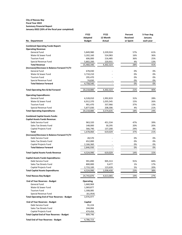#### **City of Nassau Bay Fiscal Year 2022 Summary Financial Report January-2022 (33% of the fiscal year completed)**

|                                                                | <b>FY22</b>      | <b>FY22</b>      | Percent  | 5-Year Avg |  |
|----------------------------------------------------------------|------------------|------------------|----------|------------|--|
|                                                                | Adopted          | 12 Month         | Received | January    |  |
| No. Department                                                 | <b>Budget</b>    | Actual           | or Spent | each year  |  |
| <b>Combined Operating Funds Report:</b>                        |                  |                  |          |            |  |
| <b>Operating Revenue:</b>                                      |                  |                  |          |            |  |
| General Fund                                                   | 5,849,980        | 3,339,924        | 57%      | 61%        |  |
| Water & Sewer Fund                                             | 3,202,160        | 524,983          | 16%      | 36%        |  |
| <b>Tourism Fund</b>                                            | 606,000          | 216,485          | 36%      | 25%        |  |
| Special Revenue Fund                                           | 5,802,200        | 220,931          | 4%       | 13%        |  |
| <b>Total Revenue</b>                                           | 15,460,340       | 4,302,323        | 28%      | 41%        |  |
| (Increase)/Decrease in Balance Forward Yr/Yr                   |                  |                  |          |            |  |
| <b>General Fund</b>                                            | 678,030          |                  | 0%       | 0%         |  |
| Water & Sewer Fund                                             | 3,710,210        |                  | 0%       | 0%         |  |
| <b>Tourism Fund</b>                                            | 295,470          |                  | 0%       | 0%         |  |
| Special Revenue Fund                                           | 74,830           |                  | 0%       | 0%         |  |
| <b>Total Balance Forward</b>                                   | 4,758,540        |                  | 0%       | 0%         |  |
| <b>Total Operating Rev &amp; Bal Forward</b>                   | 20,218,880       | 4,302,323        | 21%      | 40%        |  |
|                                                                |                  |                  |          |            |  |
| <b>Operating Expenditures:</b>                                 |                  |                  |          |            |  |
| General Fund                                                   | 6,528,010        | 1,992,819        | 31%      | 28%        |  |
| Water & Sewer Fund                                             | 6,912,370        | 1,035,545        | 15%      | 26%        |  |
| <b>Tourism Fund</b>                                            | 901,470          | 337,966          | 37%      | 13%        |  |
| Special Revenue Fund                                           | 5,877,030        | 208,306          | 4%       | 21%        |  |
| <b>Total Operating Expenditures</b>                            | 20,218,880       | 3,574,635        | 18%      | 24%        |  |
| <b>Combined Capital Assets Funds:</b>                          |                  |                  |          |            |  |
| <b>Capital Assets Funds Revenue:</b>                           |                  |                  |          |            |  |
| Debt Service Fund                                              | 963,320          | 451,534          | 47%      | 39%        |  |
| Sales Tax Streets Fund                                         | 148,000          | 30,295           | 20%      | 20%        |  |
| Capital Projects Fund                                          | 566,740          | 137,200          | 24%      | 8%         |  |
| Total                                                          | 1,678,060        | 619,029          | 37%      | 21%        |  |
| (Increase)/Decrease in Balance Forward Yr/Yr                   |                  |                  |          |            |  |
| Debt Service Fund                                              | 28,570           |                  | 0%       | 0%         |  |
| Sales Tax Streets Fund                                         | 652,000          |                  | 0%       | 0%         |  |
| Capital Projects Fund                                          | 2,166,360        |                  | 0%       | 0%         |  |
| <b>Total Balance Forward</b>                                   | 2,846,930        |                  | 0%       | 0%         |  |
| <b>Total Capital Assets Funds Revenue</b>                      | 4,524,990        | 619,029          | 14%      | 15%        |  |
|                                                                |                  |                  |          |            |  |
| <b>Capital Assets Funds Expenditures:</b><br>Debt Service Fund | 991,890          |                  |          |            |  |
| Sales Tax Streets Fund                                         | 800,000          | 905,313          | 91%      | 84%        |  |
| Capital Projects Fund                                          | 2,733,100        | 9,477<br>123,639 | 1%<br>5% | 17%<br>20% |  |
| <b>Total Capital Assets Expenditures</b>                       | 4,524,990        | 1,038,430        | 23%      | 38%        |  |
|                                                                |                  |                  |          |            |  |
| <b>Total Nassau Bay Budget</b>                                 | 24,743,870       | 4,613,065        | 19%      | 27%        |  |
| <b>End of Year Reserves - Budget</b>                           | <b>Operating</b> |                  |          |            |  |
| General Fund                                                   | 1,660,969        |                  |          |            |  |
| Water & Sewer Fund                                             | 1,069,877        |                  |          |            |  |
| <b>Tourism Fund</b>                                            | 1,308,085        |                  |          |            |  |
| Special Revenue Fund                                           | (61, 954)        |                  |          |            |  |
| <b>Total Operating End of Year Reserves - Budget</b>           | 3,976,977        |                  |          |            |  |
| <b>End of Year Reserves - Budget</b>                           | Capital          |                  |          |            |  |
| Debt Service Fund                                              | 91,224           |                  |          |            |  |
| Sales Tax Streets Fund                                         | 244,066          |                  |          |            |  |
| Capital Projects Fund                                          | 474,456          |                  |          |            |  |
| <b>Total Capital End of Year Reserves - Budget</b>             | 809,746          |                  |          |            |  |
| <b>Total End of Year Reserves - Budget</b>                     | 4,786,723        |                  |          |            |  |
|                                                                |                  |                  |          |            |  |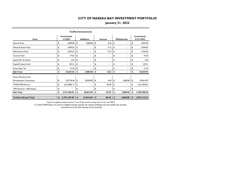### **January 31, 2022**

| <b>TexPool Investments</b> |    |                                |    |                  |          |                          |             |          |    |                                  |  |  |
|----------------------------|----|--------------------------------|----|------------------|----------|--------------------------|-------------|----------|----|----------------------------------|--|--|
| Fund                       |    | <b>Investments</b><br>1/1/2022 |    | <b>Additions</b> | Interest |                          | Withdrawals |          |    | <b>Investments</b><br>01/31/2022 |  |  |
| General Fund               | \$ | 6,090.83                       | \$ | 3,000.00         | \$       | 0.26                     | \$          | ä.       | \$ | 9,091.09                         |  |  |
| Water & Sewer Fund         | \$ | 4,494.54                       | \$ | ۰                | \$       | 0.13                     | \$          |          | \$ | 4,494.67                         |  |  |
| Debt Service Fund          | \$ | 4,725.52                       | \$ | ٠                | \$       | 0.13                     | \$          | ۰.       | \$ | 4,725.65                         |  |  |
| Tourism Fund               | \$ | 91.63                          | \$ | ٠                | \$       | ٠                        | \$          | ä.       | \$ | 91.63                            |  |  |
| Special Rev. & Grants      | \$ | 2.64                           | \$ | ٠                | \$       | ٠                        | \$          | ٠        | \$ | 2.64                             |  |  |
| Capital Projects Fund      | \$ | 102.51                         | \$ | ٠                | \$       | $\overline{\phantom{0}}$ | \$          | ۰        | \$ | 102.51                           |  |  |
| <b>Street Sales Tax</b>    | \$ | 21.76                          | \$ | ÷.               | \$       | ä.                       | \$          | ä.       | \$ | 21.76                            |  |  |
| Sub-Total                  | \$ | 15,529.43                      | \$ | 3,000.00         | \$       | 0.52                     | \$          |          | \$ | 18,529.95                        |  |  |
| Nassau Bay Economic        |    |                                |    |                  |          |                          |             |          |    |                                  |  |  |
| Development Corporation    | \$ | 125,776.44                     | \$ | 30,034.09        | \$       | 4.44                     | \$          | 3,000.00 | \$ | 152,814.97                       |  |  |
| TWDB 2020 Escrow           | \$ | 2,615,882.12                   | \$ | ٠                | \$       | 83.49                    | \$          | ۰.       | \$ | 2,615,965.61                     |  |  |
| TIRZ Revenue - RDA Equity  | \$ |                                | \$ | ٠                | \$       | ٠                        | \$          | ä.       | \$ |                                  |  |  |
| Sub-Total                  | \$ | 2,741,658.56                   | \$ | 30,034.09        | \$       | 87.93                    | \$          | 3,000.00 | \$ | 2,768,780.58                     |  |  |
|                            |    |                                |    |                  |          |                          |             |          |    |                                  |  |  |
| <b>TexPool Grand Total</b> | \$ | 2,757,187.99                   | \$ | 33,034.09        | \$       | 88.45                    | \$          | 3,000.00 | \$ | 2,787,310.53                     |  |  |

Texpool's weighted average maturity (\*) was 44 days and the average interest rate was .0381%.

*(\*) TexPool WAM Days (2) To arrive at weighted average maturity, the maturity of floating rate and variable rate securities* 

 *was deemed to be the final maturity of such securities.*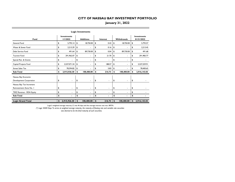### **January 31, 2022**

| <b>Logic Investments</b>  |    |                                |    |                  |          |                          |    |                          |    |                                  |  |  |  |
|---------------------------|----|--------------------------------|----|------------------|----------|--------------------------|----|--------------------------|----|----------------------------------|--|--|--|
| <b>Fund</b>               |    | <b>Investments</b><br>1/1/2022 |    | <b>Additions</b> | Interest |                          |    | Withdrawals              |    | <b>Investments</b><br>01/31/2022 |  |  |  |
| General Fund              | \$ | 5,793.14                       | \$ | 18,750.00        | \$       | 0.43                     | \$ | 18,750.00                | \$ | 5,793.57                         |  |  |  |
| Water & Sewer Fund        | \$ | 2,213.29                       | \$ |                  | \$       | 0.16                     | \$ |                          | \$ | 2.213.45                         |  |  |  |
| Debt Service Fund         | \$ | 491.64                         | \$ | 89,730.00        | \$       | 0.04                     | \$ | 89,730.00                | \$ | 491.68                           |  |  |  |
| <b>Tourism Fund</b>       | \$ | 291,962.07                     | \$ |                  | \$       | 21.70                    | \$ |                          | \$ | 291,983.77                       |  |  |  |
| Special Rev. & Grants     | \$ | ٠                              | \$ |                  | \$       |                          | \$ | ٠                        | \$ |                                  |  |  |  |
| Capital Projects Fund     | \$ | 2,537,071.34                   | \$ |                  | \$       | 188.57                   | \$ |                          | \$ | 2,537,259.91                     |  |  |  |
| <b>Street Sales Tax</b>   | \$ | 78,394.82                      | \$ |                  | \$       | 5.83                     | \$ |                          | \$ | 78,400.65                        |  |  |  |
| Sub-Total                 | \$ | 2,915,926.30                   | \$ | 108,480.00       | \$       | 216.73                   | \$ | 108,480.00               | \$ | 2,916,143.03                     |  |  |  |
| Nassau Bay Economic       |    |                                |    |                  |          |                          |    |                          |    |                                  |  |  |  |
| Development Corporation   | \$ | ٠                              | \$ |                  | \$       |                          | \$ |                          | \$ |                                  |  |  |  |
| Nassau Bay Tax Increment  |    |                                |    |                  |          |                          |    |                          |    |                                  |  |  |  |
| Reinvestment Zone No. I   | \$ | $\blacksquare$                 | \$ | ۰                | \$       |                          | \$ |                          | \$ |                                  |  |  |  |
| TIRZ Revenue - RDA Equity | \$ | ٠                              | \$ | ۰                | \$       | $\overline{\phantom{a}}$ | \$ | $\overline{\phantom{a}}$ | \$ |                                  |  |  |  |
| Sub-Total                 | \$ | ٠                              | \$ |                  | \$       |                          | \$ |                          | \$ |                                  |  |  |  |
| <b>Logic Grand Total</b>  | \$ | 2,915,926.30                   | \$ | 108,480.00       | \$       | 216.73                   | \$ | 108,480.00               | \$ | 2,916,143.03                     |  |  |  |

Logic's weighted average maturity (\*) was 46 days and the average interest rate was .0875%.

*(\*) Logic WAM Days To arrive at weighted average maturity, the maturity of floating rate and variable rate securities* 

 *was deemed to be the final maturity of such securities.*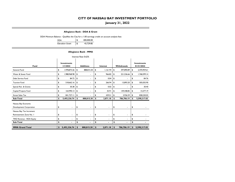### **January 31, 2022**

**Allegiance Bank - DDA & Grant**

DDA Minimum Balance - Qualifies the City for a 1.00 earnings credit on account analysis fees

| <b>DDA</b>             | \$<br>400.000.00 |
|------------------------|------------------|
| <b>Elevation Grant</b> | \$<br>43,729.85  |

#### **Allegiance Bank - MMA**

| Interest Rate 0.62%       |                                |                          |                  |                |          |                |    |             |    |                                  |  |  |  |
|---------------------------|--------------------------------|--------------------------|------------------|----------------|----------|----------------|----|-------------|----|----------------------------------|--|--|--|
| Fund                      | <b>Investments</b><br>1/1/2022 |                          | <b>Additions</b> |                | Interest |                |    | Withdrawals |    | <b>Investments</b><br>01/31/2022 |  |  |  |
| General Fund              | \$                             | 1,978,873.26             | \$               | 888,815.30     | \$       | 1,161.94       | \$ | 397.890.89  | \$ | 2,470,959.61                     |  |  |  |
| Water & Sewer Fund        | \$                             | 1,988,968.98             | \$               | $\blacksquare$ | \$       | 966.82         | \$ | 221,536.66  | \$ | 1,768,399.14                     |  |  |  |
| Debt Service Fund         | \$                             | 84.72                    | \$               | ۰              | \$       | 0.04           | \$ |             | \$ | 84.76                            |  |  |  |
| <b>Tourism Fund</b>       | \$                             | 518,662.16               | \$               | ۰              | \$       | 266.94         | \$ | 13.893.20   | \$ | 505,035.90                       |  |  |  |
| Special Rev. & Grants     | \$                             | 30.38                    | \$               | ۰              | \$       | 0.02           | \$ | ٠           | \$ | 30.40                            |  |  |  |
| Capital Projects Fund     | \$                             | 164,990.13               | \$               | ۰              | \$       | 35.91          | \$ | 149,448.85  | \$ | 15,577.19                        |  |  |  |
| <b>Street Sales Tax</b>   | \$                             | 841,727.11               | \$               |                | \$       | 439.51         | \$ | 3,936.59    | \$ | 838,230.03                       |  |  |  |
| Sub-Total                 | \$                             | 5,493,336.74             | \$               | 888,815.30     | \$       | 2,871.18       | \$ | 786,706.19  | \$ | 5,598,317.03                     |  |  |  |
| Nassau Bay Economic       |                                |                          |                  |                |          |                |    |             |    |                                  |  |  |  |
| Development Corporation   | \$                             | $\blacksquare$           | \$               | ٠              | \$       | ٠              | \$ | ٠           | \$ |                                  |  |  |  |
| Nassau Bay Tax Increment  |                                |                          |                  |                |          |                |    |             |    |                                  |  |  |  |
| Reinvestment Zone No. I   | \$                             | $\overline{\phantom{a}}$ | \$               | $\blacksquare$ | \$       | ٠              | \$ | ٠           | \$ |                                  |  |  |  |
| TIRZ Revenue - RDA Equity | \$                             |                          | \$               | ۰              | \$       | ٠              | \$ |             | \$ |                                  |  |  |  |
| Sub-Total                 | \$                             | $\blacksquare$           | \$               |                | \$       | $\blacksquare$ | \$ |             | \$ |                                  |  |  |  |
| <b>MMA Grand Total</b>    | \$                             | 5,493,336.74             | \$               | 888,815.30     | \$       | 2,871.18       | \$ | 786,706.19  | \$ | 5,598,317.03                     |  |  |  |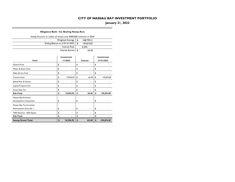## **January 31, 2022**

#### **Allegiance Bank - Int. Bearing Sweep Acct.**

| Sweep Account to collect all excess over \$400,000 minimum in DDA |                                 |                         |                      |                    |
|-------------------------------------------------------------------|---------------------------------|-------------------------|----------------------|--------------------|
|                                                                   |                                 | <b>Weighted Average</b> | \$<br>348,799.21     |                    |
|                                                                   | Ending Balance as of 01/31/2022 |                         | \$<br>195,874.87     |                    |
|                                                                   |                                 | <b>Interest Rate</b>    | 0.20%                |                    |
|                                                                   |                                 | Interest Earned         | \$<br>65.40          |                    |
|                                                                   |                                 | <b>Investments</b>      |                      | <b>Investments</b> |
| Fund                                                              |                                 | 1/1/2022                | Interest             | 01/31/2022         |
| <b>General Fund</b>                                               | \$                              |                         | \$<br>ä,             | \$                 |
| Water & Sewer Fund                                                | \$                              |                         | \$<br>٠              | \$                 |
| Debt Service Fund                                                 | \$                              |                         | \$                   | \$                 |
| <b>Tourism Fund</b>                                               | \$                              | 74,926.92               | \$<br>65.40          | \$<br>195,874.87   |
| Special Rev. & Grants                                             | \$                              |                         | \$<br>٠              | \$                 |
| Capital Projects Fund                                             | \$                              |                         | \$                   | \$                 |
| <b>Street Sales Tax</b>                                           | \$                              |                         | \$                   | \$                 |
| Sub-Total                                                         | \$                              | 74,926.92               | \$<br>65.40          | \$<br>195,874.87   |
| Nassau Bay Economic                                               |                                 |                         |                      |                    |
| Development Corporation                                           | \$                              |                         | \$                   | \$                 |
| Nassau Bay Tax Increment                                          |                                 |                         |                      |                    |
| Reinvestment Zone No. I                                           | \$                              |                         | \$<br>٠              | \$                 |
| TIRZ Revenue - RDA Equity                                         | \$                              |                         | \$                   | \$                 |
| Sub-Total                                                         | \$                              |                         | \$<br>$\overline{a}$ | \$                 |
| <b>Sweep Grand Total</b>                                          | \$                              | 74,926.92               | \$<br>65.40          | \$<br>195,874.87   |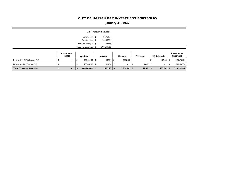## **January 31, 2022**

|                                  |                         |                          |      | <b>U.S Treasury Securities</b> |                 |               |                          |                                  |
|----------------------------------|-------------------------|--------------------------|------|--------------------------------|-----------------|---------------|--------------------------|----------------------------------|
|                                  |                         | General Fund \$          |      | 197,783.74                     |                 |               |                          |                                  |
|                                  |                         | Tourism Fund \$          |      | 200,407.34                     |                 |               |                          |                                  |
|                                  |                         | Fed. Gov. Oblig. Fd   \$ |      | 125.00                         |                 |               |                          |                                  |
|                                  |                         | Total Investments \$     |      | 398,316.08                     |                 |               |                          |                                  |
|                                  | Investments<br>1/1/2022 | <b>Additions</b>         |      | Interest                       | <b>Discount</b> | Premium       | Withdrawals              | <b>Investments</b><br>01/31/2022 |
| T-Note 3yr .125% (General Fd.)   |                         | 200,000.00 \$            |      | $136.74$ \$                    | 2,228.00        |               | 125.00                   | 197,783.74                       |
| T-Note 3yr 1% (Tourism Fd.)      |                         | 200,000.00 \$            |      | $263.74$ \$                    | $\blacksquare$  | $143.60$ \ \$ | $\overline{\phantom{a}}$ | 200,407.34                       |
| <b>Total Treasury Securities</b> | ۰.                      | 400,000.00               | - 56 | 400.48                         | $2,228.00$ \$   | $143.60$ \ \$ | 125.00                   | 398,191.08                       |

**COL**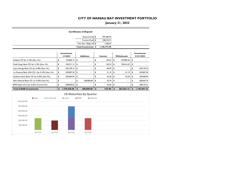## **January 31, 2022**

|                                                  | <b>Certificates of Deposit</b> |               |    |                                |     |                                 |    |              |    |                |    |                                  |  |
|--------------------------------------------------|--------------------------------|---------------|----|--------------------------------|-----|---------------------------------|----|--------------|----|----------------|----|----------------------------------|--|
|                                                  |                                |               |    |                                |     | General Fund \$                 |    | 947.284.92   |    |                |    |                                  |  |
|                                                  |                                |               |    |                                |     | Tourism Fund \$                 |    | 248, 122.31  |    |                |    |                                  |  |
|                                                  |                                |               |    |                                |     | Fed. Gov. Oblig. Fd \$          |    | 1,366.67     |    |                |    |                                  |  |
|                                                  |                                |               |    |                                |     | Total Investments \$            |    | 1,196,773.90 |    |                |    |                                  |  |
|                                                  |                                |               |    | <b>Investments</b><br>1/1/2022 |     | <b>Additions</b>                |    | Interest     |    | Withdrawals    |    | <b>Investments</b><br>01/31/2022 |  |
| Citibank CD 3yr 3.10% (Gen. Fd.)                 |                                |               | \$ | 192,840.13                     | \$  |                                 | \$ | 145.23       | \$ | 192,985.36     | \$ |                                  |  |
| Wells Fargo Bank CD 3yr 3.10% (Gen. Fd.)         |                                |               | \$ | 190,371.12                     | \$  | ÷                               | \$ | 145.23       | \$ | 190,516.35     | \$ |                                  |  |
| Luana Savings Bank CD 3yr 0.40% (Gen. Fd.)       |                                |               | \$ | 249,109.15                     | \$  |                                 | \$ | 84.59        | \$ |                | \$ | 249,193.74                       |  |
| 1st Financial Bank USA CD 1.5yr 0.10% (Gen. Fd.) |                                |               | \$ | 249,007.50                     | \$  | $\overline{\phantom{a}}$        | \$ | 21.15        | \$ | 21.15          | \$ | 249,007.50                       |  |
| Goldman Sachs Bank CD 2yr 0.20% (Gen Fd.)        |                                |               | \$ | 249,040.94                     | \$  |                                 | \$ | 42.30        | \$ | 42.30          | \$ | 249,040.94                       |  |
| Safra National Bank CD Iyr 0.30% (Gen Fd.)       |                                |               | \$ | ä,                             | \$  | 200,000.00                      | \$ | 42.74        | \$ | $\blacksquare$ | \$ | 200,042.74                       |  |
| BMW Bank CD 2.5yr 0.25% (Tourism Fd.)            |                                |               | \$ | 248,069.65                     | \$  | ÷                               | \$ | 52.66        | \$ | $\blacksquare$ | \$ | 248, 122.31                      |  |
| <b>Total CDAR Investments</b>                    |                                |               | \$ | 1,378,438.48                   | \$  | 200,000.00                      | \$ | 533.90       | \$ | 383,565.15     | \$ | 1,195,407.23                     |  |
|                                                  |                                |               |    |                                |     | <b>CD Maturities By Quarter</b> |    |              |    |                |    |                                  |  |
|                                                  | <b>■</b> Safra                 | 1st Financial |    | <b>■</b> Luana                 | BMW | Goldman                         |    |              |    |                |    |                                  |  |
| 600,000.00                                       |                                |               |    |                                |     |                                 |    |              |    |                |    |                                  |  |
| 500,000.00                                       |                                |               |    |                                |     |                                 |    |              |    |                |    |                                  |  |
| 400,000.00                                       |                                |               |    |                                |     |                                 |    |              |    |                |    |                                  |  |
| 300,000.00                                       |                                |               |    |                                |     |                                 |    |              |    |                |    |                                  |  |
|                                                  |                                |               |    |                                |     |                                 |    |              |    |                |    |                                  |  |
| 200,000.00                                       |                                |               |    |                                |     |                                 |    |              |    |                |    |                                  |  |
| 100,000.00                                       |                                |               |    |                                |     |                                 |    |              |    |                |    |                                  |  |
|                                                  | Q1 FY23                        | Q2 FY23       |    | Q3 FY23                        |     | Q1 FY24                         |    |              |    |                |    |                                  |  |

**COLL**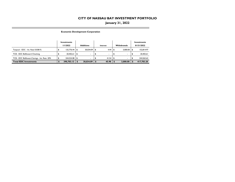### **January 31, 2022**

**Economic Development Corporation**

**COL** 

|                                              | Investments       |     |                  |  |              |  |                    |  | Investments |
|----------------------------------------------|-------------------|-----|------------------|--|--------------|--|--------------------|--|-------------|
|                                              | 1/1/2022          |     | <b>Additions</b> |  | Interest     |  | <b>Withdrawals</b> |  | 01/31/2022  |
| Texpool - EDC - Int. Rate 0.0381%            | $125.776.44$ \ \$ |     | $30.034.09$ \$   |  | $4.44$ \ \$  |  | $3.000.00$ \\$     |  | 152.814.97  |
| TCB - EDC BizReward Checking                 | 20,402.61         | 1 S | ۰.               |  | ٠.           |  |                    |  | 20,402.61   |
| TCB - EDC BizReward Savings - Int. Rate .20% | 244.524.08 \$     |     | ۰.               |  | $41.54$ \ \$ |  |                    |  | 244.565.62  |
| <b>Total EDC Investments</b>                 | 390,703.13        |     | 30.034.09        |  | 45.98        |  | 3.000.00           |  | 417,783.20  |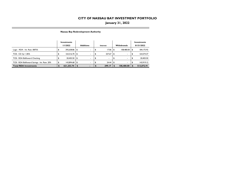### **January 31, 2022**

**Nassau Bay Redevelopment Authority**

**COLL** 

|                                              | Investments     |    |                          |     |              |                    | Investments |
|----------------------------------------------|-----------------|----|--------------------------|-----|--------------|--------------------|-------------|
|                                              | 1/1/2022        |    | <b>Additions</b>         |     | Interest     | <b>Withdrawals</b> | 01/31/2022  |
| Logic - RDA - Int. Rate .0875%               | 292,638.86 \$   |    | $\overline{\phantom{a}}$ |     | $17.06$ \ \$ | $108.480.00$ \ \$  | 184,175.92  |
| TCB - CD 3yr 1.85%                           | $164,316.70$ \$ |    | ٠                        | -56 | $257.67$ \$  | $\sim$             | 164,574.37  |
| TCB - RDA BizReward Checking                 | $20,403.50$ \$  |    | ۰                        | ъ   | ۰            | ٠                  | 20,403.50   |
| TCB - RDA BizReward Savings - Int. Rate .20% | 143,894.68 \$   |    | ۰                        |     | $24.44$ \ \$ |                    | 143.919.12  |
| <b>Total RDA Investments</b>                 | 621,253.74      | -S | $\overline{\phantom{a}}$ |     | 299.17       | 108,480.00         | 513,072.91  |